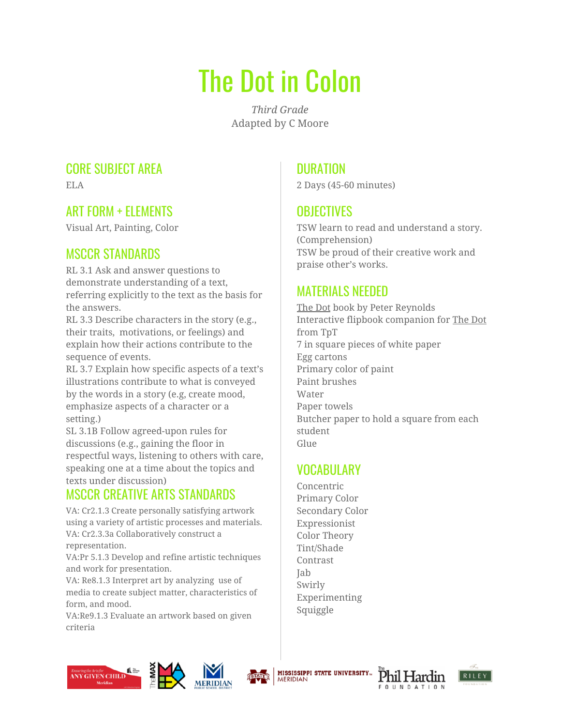# The Dot in Colon

*Third Grade* Adapted by C Moore

### CORE SUBJECT AREA

ELA

# ART FORM + ELEMENTS

Visual Art, Painting, Color

# MSCCR STANDARDS

RL 3.1 Ask and answer questions to demonstrate understanding of a text, referring explicitly to the text as the basis for the answers.

RL 3.3 Describe characters in the story (e.g., their traits, motivations, or feelings) and explain how their actions contribute to the sequence of events.

RL 3.7 Explain how specific aspects of a text's illustrations contribute to what is conveyed by the words in a story (e.g, create mood, emphasize aspects of a character or a setting.)

SL 3.1B Follow agreed-upon rules for discussions (e.g., gaining the floor in respectful ways, listening to others with care, speaking one at a time about the topics and texts under discussion)

# MSCCR CREATIVE ARTS STANDARDS

VA: Cr2.1.3 Create personally satisfying artwork using a variety of artistic processes and materials. VA: Cr2.3.3a Collaboratively construct a representation.

VA:Pr 5.1.3 Develop and refine artistic techniques and work for presentation.

VA: Re8.1.3 Interpret art by analyzing use of media to create subject matter, characteristics of form, and mood.

VA:Re9.1.3 Evaluate an artwork based on given criteria

# **DURATION**

2 Days (45-60 minutes)

# **OBJECTIVES**

TSW learn to read and understand a story. (Comprehension) TSW be proud of their creative work and praise other's works.

# MATERIALS NEEDED

The Dot book by Peter Reynolds Interactive flipbook companion for The Dot from TpT 7 in square pieces of white paper Egg cartons Primary color of paint Paint brushes Water Paper towels Butcher paper to hold a square from each student Glue

### VOCABULARY

Concentric Primary Color Secondary Color Expressionist Color Theory Tint/Shade Contrast Jab Swirly Experimenting Squiggle